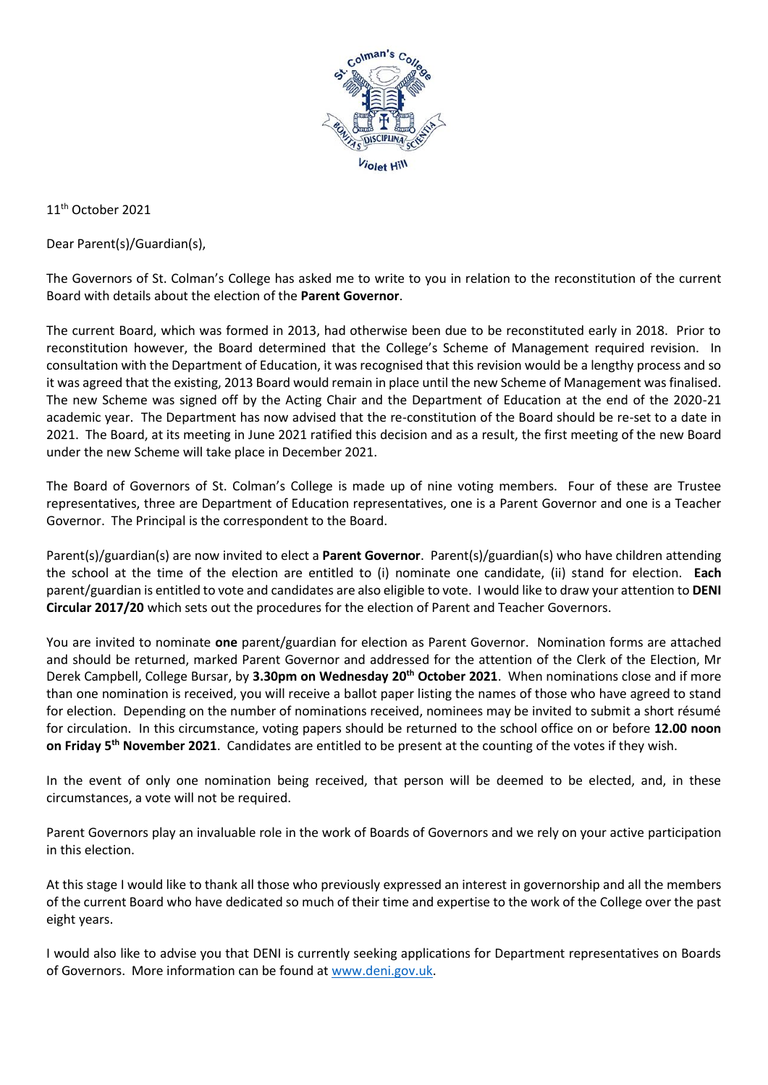

11th October 2021

Dear Parent(s)/Guardian(s),

The Governors of St. Colman's College has asked me to write to you in relation to the reconstitution of the current Board with details about the election of the **Parent Governor**.

The current Board, which was formed in 2013, had otherwise been due to be reconstituted early in 2018. Prior to reconstitution however, the Board determined that the College's Scheme of Management required revision. In consultation with the Department of Education, it was recognised that this revision would be a lengthy process and so it was agreed that the existing, 2013 Board would remain in place until the new Scheme of Management was finalised. The new Scheme was signed off by the Acting Chair and the Department of Education at the end of the 2020-21 academic year. The Department has now advised that the re-constitution of the Board should be re-set to a date in 2021. The Board, at its meeting in June 2021 ratified this decision and as a result, the first meeting of the new Board under the new Scheme will take place in December 2021.

The Board of Governors of St. Colman's College is made up of nine voting members. Four of these are Trustee representatives, three are Department of Education representatives, one is a Parent Governor and one is a Teacher Governor. The Principal is the correspondent to the Board.

Parent(s)/guardian(s) are now invited to elect a **Parent Governor**. Parent(s)/guardian(s) who have children attending the school at the time of the election are entitled to (i) nominate one candidate, (ii) stand for election. **Each** parent/guardian is entitled to vote and candidates are also eligible to vote. I would like to draw your attention to **DENI Circular 2017/20** which sets out the procedures for the election of Parent and Teacher Governors.

You are invited to nominate **one** parent/guardian for election as Parent Governor. Nomination forms are attached and should be returned, marked Parent Governor and addressed for the attention of the Clerk of the Election, Mr Derek Campbell, College Bursar, by **3.30pm on Wednesday 20th October 2021**. When nominations close and if more than one nomination is received, you will receive a ballot paper listing the names of those who have agreed to stand for election. Depending on the number of nominations received, nominees may be invited to submit a short résumé for circulation. In this circumstance, voting papers should be returned to the school office on or before **12.00 noon**  on Friday 5<sup>th</sup> November 2021. Candidates are entitled to be present at the counting of the votes if they wish.

In the event of only one nomination being received, that person will be deemed to be elected, and, in these circumstances, a vote will not be required.

Parent Governors play an invaluable role in the work of Boards of Governors and we rely on your active participation in this election.

At this stage I would like to thank all those who previously expressed an interest in governorship and all the members of the current Board who have dedicated so much of their time and expertise to the work of the College over the past eight years.

I would also like to advise you that DENI is currently seeking applications for Department representatives on Boards of Governors. More information can be found at [www.deni.gov.uk.](http://www.deni.gov.uk/)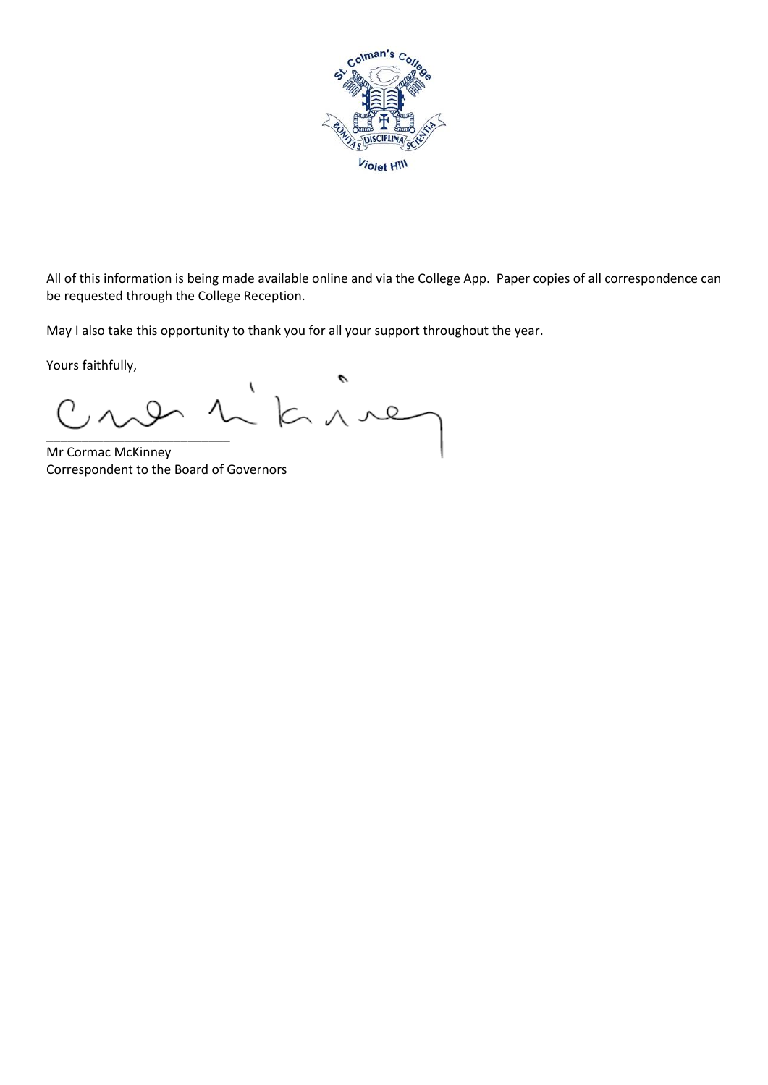

All of this information is being made available online and via the College App. Paper copies of all correspondence can be requested through the College Reception.

May I also take this opportunity to thank you for all your support throughout the year.

Yours faithfully,

١  $k$ \_\_\_\_\_\_\_\_\_\_\_\_\_\_\_\_\_\_\_\_\_\_\_\_\_\_

Mr Cormac McKinney Correspondent to the Board of Governors